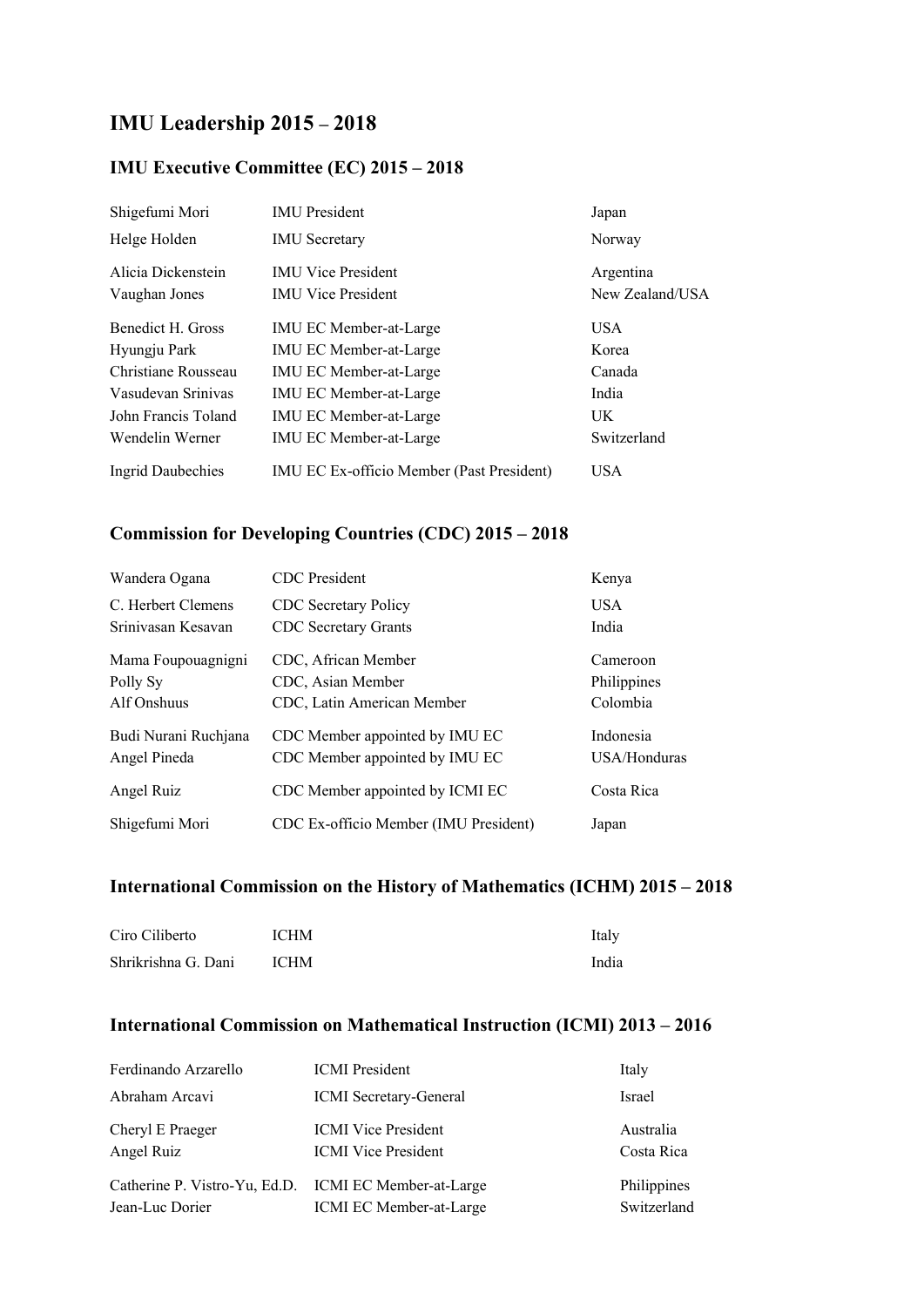# **IMU Leadership 2015 – 2018**

#### **IMU Executive Committee (EC) 2015 – 2018**

| Shigefumi Mori      | <b>IMU</b> President                             | Japan           |
|---------------------|--------------------------------------------------|-----------------|
| Helge Holden        | <b>IMU</b> Secretary                             | Norway          |
| Alicia Dickenstein  | <b>IMU Vice President</b>                        | Argentina       |
| Vaughan Jones       | <b>IMU Vice President</b>                        | New Zealand/USA |
| Benedict H. Gross   | <b>IMU EC Member-at-Large</b>                    | <b>USA</b>      |
| Hyungju Park        | <b>IMU EC Member-at-Large</b>                    | Korea           |
| Christiane Rousseau | <b>IMU EC Member-at-Large</b>                    | Canada          |
| Vasudevan Srinivas  | <b>IMU EC Member-at-Large</b>                    | India           |
| John Francis Toland | <b>IMU EC Member-at-Large</b>                    | UK              |
| Wendelin Werner     | IMU EC Member-at-Large                           | Switzerland     |
| Ingrid Daubechies   | <b>IMU EC Ex-officio Member (Past President)</b> | USA             |

#### **Commission for Developing Countries (CDC) 2015 – 2018**

| Wandera Ogana        | <b>CDC</b> President                  | Kenya        |
|----------------------|---------------------------------------|--------------|
| C. Herbert Clemens   | <b>CDC</b> Secretary Policy           | <b>USA</b>   |
| Sriniyasan Kesayan   | <b>CDC</b> Secretary Grants           | India        |
| Mama Foupouagnigni   | CDC, African Member                   | Cameroon     |
| Polly Sy             | CDC, Asian Member                     | Philippines  |
| Alf Onshuus          | CDC, Latin American Member            | Colombia     |
| Budi Nurani Ruchjana | CDC Member appointed by IMU EC        | Indonesia    |
| Angel Pineda         | CDC Member appointed by IMU EC        | USA/Honduras |
| Angel Ruiz           | CDC Member appointed by ICMI EC       | Costa Rica   |
| Shigefumi Mori       | CDC Ex-officio Member (IMU President) | Japan        |

### **International Commission on the History of Mathematics (ICHM) 2015 – 2018**

| Ciro Ciliberto      | <b>ICHM</b> | Italy |
|---------------------|-------------|-------|
| Shrikrishna G. Dani | <b>ICHM</b> | India |

### **International Commission on Mathematical Instruction (ICMI) 2013 – 2016**

| Ferdinando Arzarello                                                     | <b>ICMI</b> President                                    | Italy                      |
|--------------------------------------------------------------------------|----------------------------------------------------------|----------------------------|
| Abraham Arcavi                                                           | ICMI Secretary-General                                   | <b>Israel</b>              |
| Cheryl E Praeger<br>Angel Ruiz                                           | <b>ICMI</b> Vice President<br><b>ICMI</b> Vice President | Australia<br>Costa Rica    |
| Catherine P. Vistro-Yu, Ed.D. ICMI EC Member-at-Large<br>Jean-Luc Dorier | ICMI EC Member-at-Large                                  | Philippines<br>Switzerland |